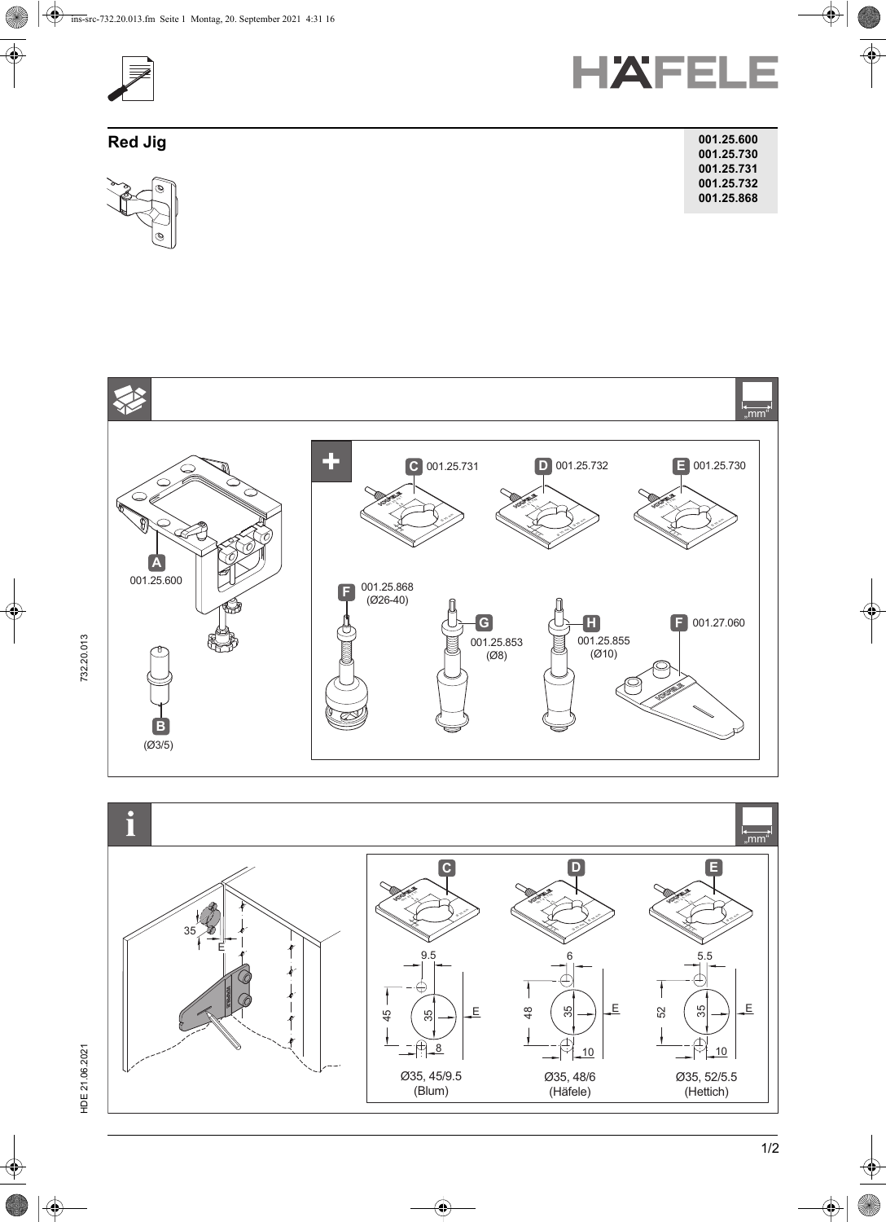



| JA I<br>v |  |  |
|-----------|--|--|
|           |  |  |

| Red Jig                     | 001.25.600 |
|-----------------------------|------------|
|                             | 001.25.730 |
|                             | 001.25.731 |
| ong of<br>$\varphi^{\perp}$ | 001.25.732 |
|                             | 001.25.868 |